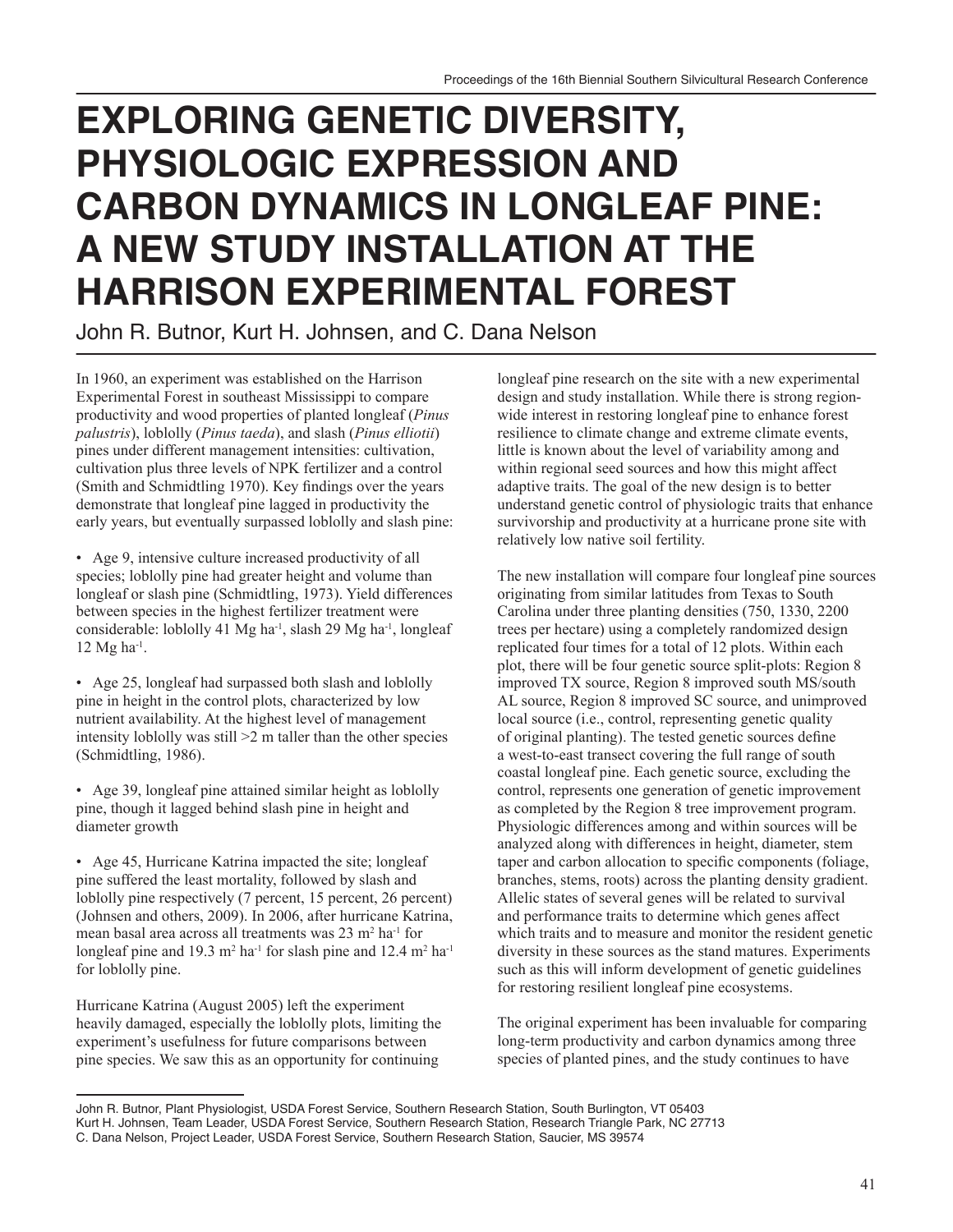## **Exploring Genetic Diversity, Physiologic Expression and Carbon Dynamics in Longleaf Pine: A New Study Installation at the Harrison Experimental Forest**

John R. Butnor, Kurt H. Johnsen, and C. Dana Nelson

In 1960, an experiment was established on the Harrison Experimental Forest in southeast Mississippi to compare productivity and wood properties of planted longleaf (*Pinus palustris*), loblolly (*Pinus taeda*), and slash (*Pinus elliotii*) pines under different management intensities: cultivation, cultivation plus three levels of NPK fertilizer and a control (Smith and Schmidtling 1970). Key findings over the years demonstrate that longleaf pine lagged in productivity the early years, but eventually surpassed loblolly and slash pine:

• Age 9, intensive culture increased productivity of all species; loblolly pine had greater height and volume than longleaf or slash pine (Schmidtling, 1973). Yield differences between species in the highest fertilizer treatment were considerable: loblolly 41 Mg ha<sup>-1</sup>, slash 29 Mg ha<sup>-1</sup>, longleaf 12 Mg ha-1.

• Age 25, longleaf had surpassed both slash and loblolly pine in height in the control plots, characterized by low nutrient availability. At the highest level of management intensity loblolly was still >2 m taller than the other species (Schmidtling, 1986).

• Age 39, longleaf pine attained similar height as loblolly pine, though it lagged behind slash pine in height and diameter growth

• Age 45, Hurricane Katrina impacted the site; longleaf pine suffered the least mortality, followed by slash and loblolly pine respectively (7 percent, 15 percent, 26 percent) (Johnsen and others, 2009). In 2006, after hurricane Katrina, mean basal area across all treatments was 23 m<sup>2</sup> ha<sup>-1</sup> for longleaf pine and 19.3  $m^2$  ha<sup>-1</sup> for slash pine and 12.4  $m^2$  ha<sup>-1</sup> for loblolly pine.

Hurricane Katrina (August 2005) left the experiment heavily damaged, especially the loblolly plots, limiting the experiment's usefulness for future comparisons between pine species. We saw this as an opportunity for continuing

longleaf pine research on the site with a new experimental design and study installation. While there is strong regionwide interest in restoring longleaf pine to enhance forest resilience to climate change and extreme climate events, little is known about the level of variability among and within regional seed sources and how this might affect adaptive traits. The goal of the new design is to better understand genetic control of physiologic traits that enhance survivorship and productivity at a hurricane prone site with relatively low native soil fertility.

The new installation will compare four longleaf pine sources originating from similar latitudes from Texas to South Carolina under three planting densities (750, 1330, 2200 trees per hectare) using a completely randomized design replicated four times for a total of 12 plots. Within each plot, there will be four genetic source split-plots: Region 8 improved TX source, Region 8 improved south MS/south AL source, Region 8 improved SC source, and unimproved local source (i.e., control, representing genetic quality of original planting). The tested genetic sources define a west-to-east transect covering the full range of south coastal longleaf pine. Each genetic source, excluding the control, represents one generation of genetic improvement as completed by the Region 8 tree improvement program. Physiologic differences among and within sources will be analyzed along with differences in height, diameter, stem taper and carbon allocation to specific components (foliage, branches, stems, roots) across the planting density gradient. Allelic states of several genes will be related to survival and performance traits to determine which genes affect which traits and to measure and monitor the resident genetic diversity in these sources as the stand matures. Experiments such as this will inform development of genetic guidelines for restoring resilient longleaf pine ecosystems.

The original experiment has been invaluable for comparing long-term productivity and carbon dynamics among three species of planted pines, and the study continues to have

John R. Butnor, Plant Physiologist, USDA Forest Service, Southern Research Station, South Burlington, VT 05403 Kurt H. Johnsen, Team Leader, USDA Forest Service, Southern Research Station, Research Triangle Park, NC 27713 C. Dana Nelson, Project Leader, USDA Forest Service, Southern Research Station, Saucier, MS 39574